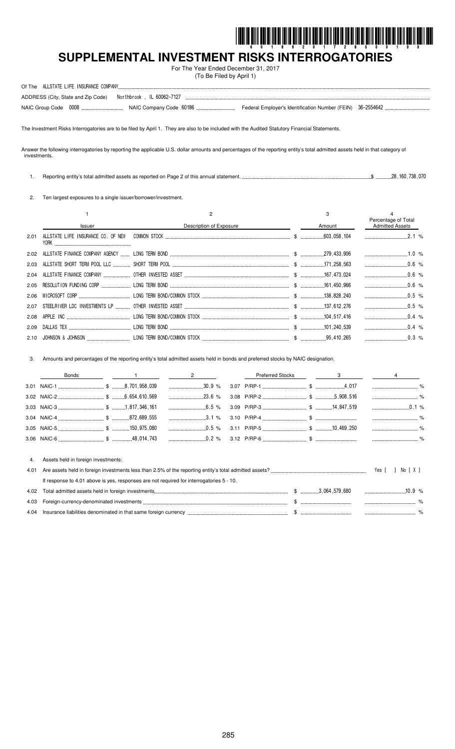

# **SUPPLEMENTAL INVESTMENT RISKS INTERROGATORIES**

For The Year Ended December 31, 2017 (To Be Filed by April 1)

| Of The ALLSTATE LIFE INSURANCE COMPANY                          |  |
|-----------------------------------------------------------------|--|
| ADDRESS (City, State and Zip Code)    Morthbrook, IL 60062-7127 |  |
|                                                                 |  |

The Investment Risks Interrogatories are to be filed by April 1. They are also to be included with the Audited Statutory Financial Statements.

Answer the following interrogatories by reporting the applicable U.S. dollar amounts and percentages of the reporting entity's total admitted assets held in that category of investments.

1. Reporting entity's total admitted assets as reported on Page 2 of this annual statement. \$ 28,160,738,070

2. Ten largest exposures to a single issuer/borrower/investment.

|      |        |                         | 3      | Percentage of Total                   |  |
|------|--------|-------------------------|--------|---------------------------------------|--|
|      | Issuer | Description of Exposure | Amount | <b>Admitted Assets</b>                |  |
| 2.01 | Y0RK   |                         |        | ________________________________2.1 % |  |
| 2.02 |        |                         |        | $\ldots$ 1.0 %                        |  |
|      |        |                         |        | $0.6\%$                               |  |
|      |        |                         |        | $\ldots$ 0.6 %                        |  |
|      |        |                         |        |                                       |  |
|      |        |                         |        | $\ldots$ 0.5 %                        |  |
|      |        |                         |        | $0.5 \, \frac{\alpha}{2}$             |  |
|      |        |                         |        | $0.4\%$                               |  |
| 2.09 |        |                         |        | $0.4\%$                               |  |
|      |        |                         |        |                                       |  |

3. Amounts and percentages of the reporting entity's total admitted assets held in bonds and preferred stocks by NAIC designation.

|      | Bonds                                                                                    | $\overline{2}$ | <b>Preferred Stocks</b> | $\sim$ 3 |                    |       |
|------|------------------------------------------------------------------------------------------|----------------|-------------------------|----------|--------------------|-------|
|      |                                                                                          | 30.9%          |                         |          |                    |       |
|      |                                                                                          |                |                         |          |                    |       |
|      |                                                                                          | $6.5\%$        |                         |          |                    |       |
|      |                                                                                          | $3.1\%$        |                         |          |                    |       |
|      |                                                                                          | $0.5\%$        |                         |          |                    |       |
|      |                                                                                          |                |                         |          |                    |       |
| 4.   | Assets held in foreign investments:                                                      |                |                         |          |                    |       |
| 4.01 |                                                                                          |                |                         |          | Yes [ ]            | Norxi |
|      | If response to 4.01 above is yes, responses are not required for interrogatories 5 - 10. |                |                         |          |                    |       |
| 4.02 |                                                                                          |                |                         |          | $\frac{10.9}{8}$ % |       |
| 4.03 |                                                                                          |                |                         |          |                    |       |
|      |                                                                                          |                |                         |          |                    |       |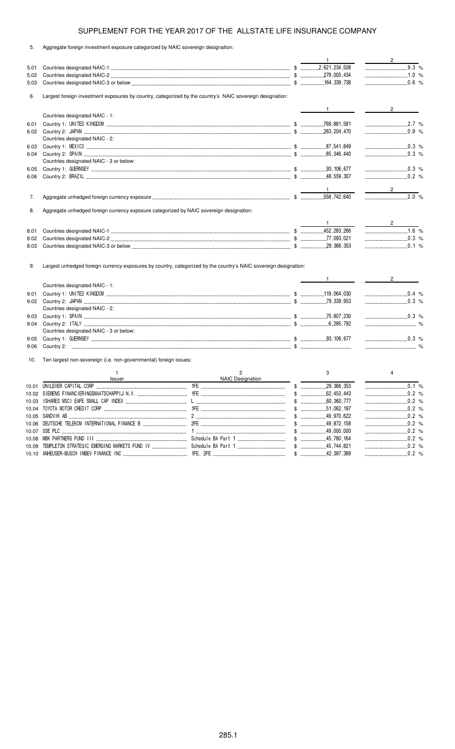|  |  |  |  |  |  |  |  | Aggregate foreign investment exposure categorized by NAIC sovereign designation: |
|--|--|--|--|--|--|--|--|----------------------------------------------------------------------------------|
|--|--|--|--|--|--|--|--|----------------------------------------------------------------------------------|

|      |                                                                                                                  |                  | $\overline{1}$                                                  | $\frac{2}{\sqrt{2}}$           |
|------|------------------------------------------------------------------------------------------------------------------|------------------|-----------------------------------------------------------------|--------------------------------|
| 5.01 |                                                                                                                  |                  |                                                                 | 9.3 %                          |
| 5.02 |                                                                                                                  |                  |                                                                 | $\ldots$ 1.0 %                 |
| 5.03 |                                                                                                                  |                  |                                                                 | 0.6 %                          |
| 6.   | Largest foreign investment exposures by country, categorized by the country's NAIC sovereign designation:        |                  |                                                                 |                                |
|      |                                                                                                                  |                  | $\mathbf{1}$ and $\mathbf{1}$ and $\mathbf{1}$ and $\mathbf{1}$ | $2 \left( \frac{1}{2} \right)$ |
|      | Countries designated NAIC - 1:                                                                                   |                  |                                                                 |                                |
| 6.01 |                                                                                                                  |                  |                                                                 | 2.7 %                          |
|      |                                                                                                                  |                  |                                                                 |                                |
|      | Countries designated NAIC - 2:                                                                                   |                  |                                                                 |                                |
| 6.03 |                                                                                                                  |                  |                                                                 |                                |
| 6.04 |                                                                                                                  |                  |                                                                 |                                |
|      | Countries designated NAIC - 3 or below:                                                                          |                  |                                                                 |                                |
| 6.05 |                                                                                                                  |                  |                                                                 | $\ldots$ 0.3 %                 |
| 6.06 |                                                                                                                  |                  |                                                                 |                                |
|      |                                                                                                                  |                  | $\frac{1}{2}$ 1                                                 | $\frac{2}{\sqrt{2}}$           |
| 7.   |                                                                                                                  |                  |                                                                 |                                |
|      |                                                                                                                  |                  |                                                                 |                                |
| 8.   | Aggregate unhedged foreign currency exposure categorized by NAIC sovereign designation:                          |                  |                                                                 |                                |
|      |                                                                                                                  |                  |                                                                 |                                |
| 8.01 |                                                                                                                  |                  |                                                                 | $1.6\%$                        |
| 8.02 |                                                                                                                  |                  |                                                                 | $\ldots$ 0.3 %                 |
| 8.03 |                                                                                                                  |                  | $\ldots$ 0.1 %                                                  |                                |
| 9.   | Largest unhedged foreign currency exposures by country, categorized by the country's NAIC sovereign designation: |                  | $\mathbf{1}$ and $\mathbf{1}$                                   | $2 \left( \frac{1}{2} \right)$ |
|      | Countries designated NAIC - 1:                                                                                   |                  |                                                                 |                                |
| 9.01 |                                                                                                                  |                  |                                                                 | $\ldots$ 0.4 %                 |
|      |                                                                                                                  |                  |                                                                 | $\frac{1}{2}$ 0.3 %            |
|      | Countries designated NAIC - 2:                                                                                   |                  |                                                                 |                                |
| 9.03 |                                                                                                                  |                  |                                                                 | $\ldots$ 0.3 %                 |
| 9.04 |                                                                                                                  |                  |                                                                 |                                |
|      | Countries designated NAIC - 3 or below:                                                                          |                  |                                                                 |                                |
| 9.05 |                                                                                                                  |                  |                                                                 | $\ldots$ 0.3 %                 |
| 9.06 |                                                                                                                  |                  |                                                                 |                                |
| 10.  | Ten largest non-sovereign (i.e. non-governmental) foreign issues:                                                |                  |                                                                 |                                |
|      | $\mathbf{1}$                                                                                                     | 2                | 3                                                               | 4                              |
|      | Issuer                                                                                                           | NAIC Designation |                                                                 |                                |
|      |                                                                                                                  |                  | $\overline{.29}$ , 366, 353<br>$\$\$                            | 0.1%                           |
|      |                                                                                                                  |                  | $\$\$<br>.62,453,443                                            | .0.2%                          |
|      |                                                                                                                  |                  | $\$\$<br>.60,360,777                                            | .0.2%                          |
|      |                                                                                                                  |                  |                                                                 | $\ldots$ 0.2 %                 |
|      |                                                                                                                  |                  |                                                                 |                                |
|      |                                                                                                                  |                  |                                                                 |                                |
|      |                                                                                                                  |                  |                                                                 |                                |
|      |                                                                                                                  |                  |                                                                 |                                |
|      |                                                                                                                  |                  |                                                                 |                                |
|      |                                                                                                                  |                  |                                                                 | .0.2%                          |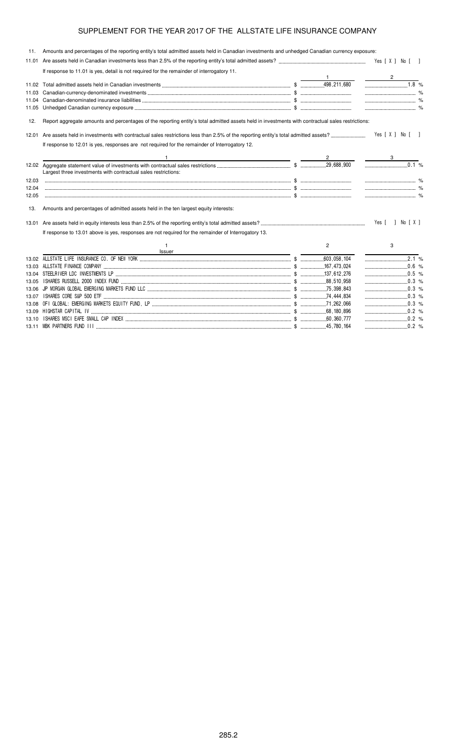| 11.   | Amounts and percentages of the reporting entity's total admitted assets held in Canadian investments and unhedged Canadian currency exposure:     |                |                      |  |
|-------|---------------------------------------------------------------------------------------------------------------------------------------------------|----------------|----------------------|--|
| 11.01 |                                                                                                                                                   |                |                      |  |
|       | If response to 11.01 is yes, detail is not required for the remainder of interrogatory 11.                                                        |                |                      |  |
|       |                                                                                                                                                   |                | $1.8\%$              |  |
|       |                                                                                                                                                   |                |                      |  |
|       |                                                                                                                                                   |                |                      |  |
|       |                                                                                                                                                   |                | $\sim$ $\sim$ $\sim$ |  |
|       |                                                                                                                                                   |                |                      |  |
| 12.   | Report aggregate amounts and percentages of the reporting entity's total admitted assets held in investments with contractual sales restrictions: |                |                      |  |
|       |                                                                                                                                                   |                | Yes [ X ] No [ ]     |  |
|       | If response to 12.01 is yes, responses are not required for the remainder of Interrogatory 12.                                                    |                |                      |  |
|       | <u> 1989 - Johann Stein, mars an deus an deus Amerikaanse komme van de Fryske komme en oantale</u>                                                |                |                      |  |
|       | Largest three investments with contractual sales restrictions:                                                                                    |                | 0.1 %                |  |
| 12.03 |                                                                                                                                                   |                |                      |  |
| 12.04 |                                                                                                                                                   |                |                      |  |
| 12.05 |                                                                                                                                                   |                |                      |  |
| 13.   | Amounts and percentages of admitted assets held in the ten largest equity interests:                                                              |                |                      |  |
|       |                                                                                                                                                   |                | Yes [ ] No [ X ]     |  |
|       | If response to 13.01 above is yes, responses are not required for the remainder of Interrogatory 13.                                              |                |                      |  |
|       | $\mathbf{1}$<br><b>Issuer</b>                                                                                                                     | $\overline{2}$ | 3                    |  |
|       |                                                                                                                                                   |                |                      |  |
|       |                                                                                                                                                   |                | $\ldots$ 0.6 %       |  |
|       |                                                                                                                                                   |                | $\ldots$ 0.5 %       |  |
| 13.05 |                                                                                                                                                   |                |                      |  |
|       |                                                                                                                                                   |                |                      |  |
|       |                                                                                                                                                   |                |                      |  |
|       |                                                                                                                                                   |                |                      |  |
|       |                                                                                                                                                   |                | $\ldots$ 0.2 %       |  |
|       |                                                                                                                                                   |                |                      |  |

13.11 MBK PARTNERS FUND III \$ 45,780,164 0.2 %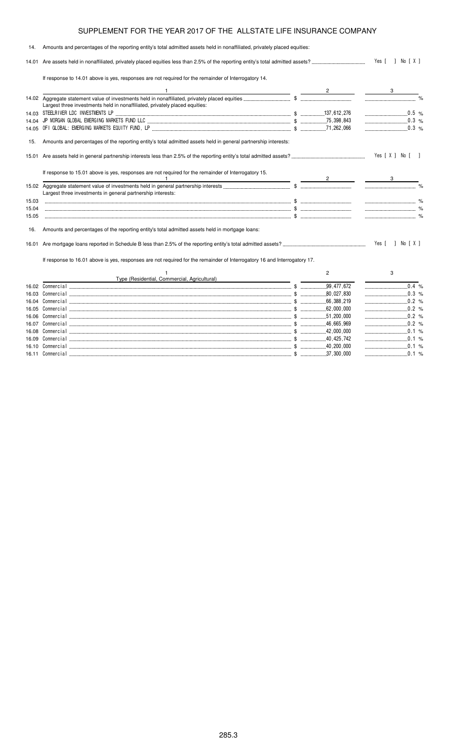#### 14. Amounts and percentages of the reporting entity's total admitted assets held in nonaffiliated, privately placed equities: 14.01 Are assets held in nonaffiliated, privately placed equities less than 2.5% of the reporting entity's total admitted assets? Yes [ ] No [ X ] If response to 14.01 above is yes, responses are not required for the remainder of Interrogatory 14. 1  $\overline{2}$  3 14.02 Aggregate statement value of investments held in nonaffiliated, privately placed equities \$ % Largest three investments held in nonaffiliated, privately placed equities: 14.03 STEELRIVER LDC INVESTMENTS LP \$ 137,612,276 0.5 % 14.04 JP MORGAN GLOBAL EMERGING MARKETS FUND LLC \$ 75,398,843 0.3 % 14.05 OFI GLOBAL: EMERGING MARKETS EQUITY FUND, LP \$ 71,262,066 0.3 % 15. Amounts and percentages of the reporting entity's total admitted assets held in general partnership interests: 15.01 Are assets held in general partnership interests less than 2.5% of the reporting entity's total admitted assets? Yes [X] No [] If response to 15.01 above is yes, responses are not required for the remainder of Interrogatory 15. 1  $\overline{2}$  3 15.02 Aggregate statement value of investments held in general partnership interests \$ % Largest three investments in general partnership interests: 15.03 \$ % 15.04 \$ % 15.05 \$ % 16. Amounts and percentages of the reporting entity's total admitted assets held in mortgage loans: 16.01 Are mortgage loans reported in Schedule B less than 2.5% of the reporting entity's total admitted assets? Yes [ ] No [ X ] If response to 16.01 above is yes, responses are not required for the remainder of Interrogatory 16 and Interrogatory 17. 1 Type (Residential, Commercial, Agricultural) 2 3 16.02 Commercial \$ 99,477,672 0.4 % 16.03 Commercial \$ 80,027,830 0.3 % 16.04 Commercial \$ 66,388,219 0.2 % 16.05 Commercial \$ 62,000,000 0.2 % 16.06 Commercial \$ 51,200,000 0.2 % 16.07 Commercial \$ 46,665,969 0.2 % 16.08 Commercial \$ 42,000,000 0.1 %

16.09 Commercial \$ 40,425,742 0.1 % 16.10 Commercial \$ 40,200,000 0.1 % 16.11 Commercial \$ 37,300,000 0.1 %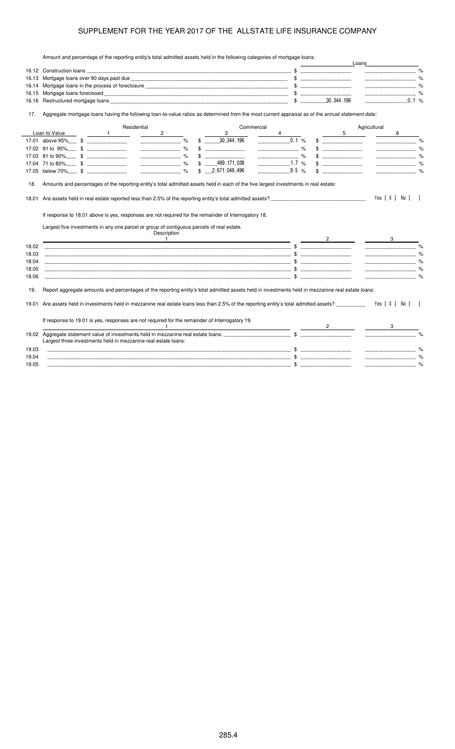Amount and percentage of the reporting entity's total admitted assets held in the following categories of mortgage loans:

|                | Amount and percentage of the reporting entity's total admitted assets held in the following categories of mongage idahs.                                                                          |                         |            |      |                | Loans        |                          |
|----------------|---------------------------------------------------------------------------------------------------------------------------------------------------------------------------------------------------|-------------------------|------------|------|----------------|--------------|--------------------------|
|                |                                                                                                                                                                                                   |                         |            |      |                |              |                          |
| 16.13          |                                                                                                                                                                                                   |                         |            |      |                |              |                          |
| 16.14          |                                                                                                                                                                                                   |                         |            |      |                |              |                          |
| 16.15          |                                                                                                                                                                                                   |                         |            |      |                |              |                          |
| 16.16          |                                                                                                                                                                                                   |                         |            |      |                |              |                          |
| 17.            | Aggregate mortgage loans having the following loan-to-value ratios as determined from the most current appraisal as of the annual statement date:                                                 |                         |            |      |                |              |                          |
|                | Residential                                                                                                                                                                                       |                         | Commercial |      |                | Agricultural |                          |
|                | Loan to Value<br>$2^{\circ}$<br>$\sim$ $\sim$ 1                                                                                                                                                   | 3                       |            |      | 5              |              | 6                        |
|                |                                                                                                                                                                                                   | $$$ 30, 344, 196        | 0.1 %      |      |                |              |                          |
|                |                                                                                                                                                                                                   |                         |            |      |                |              |                          |
|                |                                                                                                                                                                                                   |                         |            | $\%$ |                |              |                          |
|                |                                                                                                                                                                                                   | $$$ 489, 171, 038       |            |      |                |              |                          |
|                |                                                                                                                                                                                                   | $$ \dots 2,671,048,496$ | 9.5 %      |      |                |              |                          |
|                |                                                                                                                                                                                                   |                         |            |      |                |              |                          |
|                | If response to 18.01 above is yes, responses are not required for the remainder of Interrogatory 18.<br>Largest five investments in any one parcel or group of contiguous parcels of real estate. |                         |            |      |                |              | Yes [ X ] No [<br>$\Box$ |
|                | Description                                                                                                                                                                                       |                         |            |      |                |              |                          |
|                | $\mathbf{1}$                                                                                                                                                                                      |                         |            |      | $\overline{2}$ |              | 3                        |
| 18.02          |                                                                                                                                                                                                   |                         |            |      |                |              |                          |
| 18.03          |                                                                                                                                                                                                   |                         |            |      |                |              | $\sim$ $\%$              |
| 18.04          |                                                                                                                                                                                                   |                         |            |      |                |              |                          |
| 18.05          |                                                                                                                                                                                                   |                         |            |      |                |              |                          |
| 18.06          |                                                                                                                                                                                                   |                         |            |      |                |              |                          |
| 19.            | Report aggregate amounts and percentages of the reporting entity's total admitted assets held in investments held in mezzanine real estate loans:                                                 |                         |            |      |                |              |                          |
| 19.01          |                                                                                                                                                                                                   |                         |            |      |                |              |                          |
|                |                                                                                                                                                                                                   |                         |            |      |                |              | Yes [ X ] No [           |
|                | If response to 19.01 is yes, responses are not required for the remainder of Interrogatory 19.                                                                                                    |                         |            |      |                |              |                          |
|                | $\mathbf{1}$                                                                                                                                                                                      |                         |            |      |                |              |                          |
|                |                                                                                                                                                                                                   |                         |            |      |                |              |                          |
|                | Largest three investments held in mezzanine real estate loans:                                                                                                                                    |                         |            |      |                |              |                          |
| 19.03          |                                                                                                                                                                                                   |                         |            |      |                |              |                          |
| 19.04<br>19.05 |                                                                                                                                                                                                   |                         |            |      |                |              |                          |